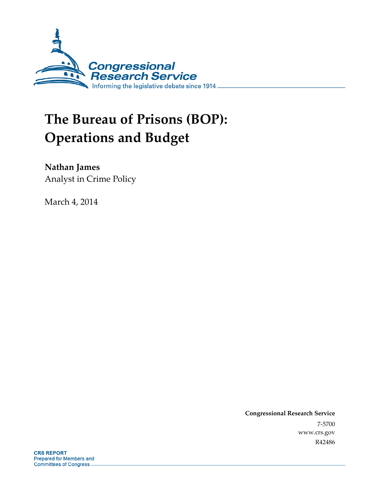

# **The Bureau of Prisons (BOP): Operations and Budget**

**Nathan James** 

Analyst in Crime Policy

March 4, 2014

**Congressional Research Service**  7-5700 www.crs.gov R42486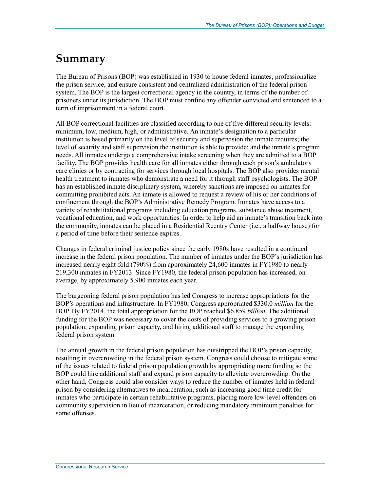### **Summary**

The Bureau of Prisons (BOP) was established in 1930 to house federal inmates, professionalize the prison service, and ensure consistent and centralized administration of the federal prison system. The BOP is the largest correctional agency in the country, in terms of the number of prisoners under its jurisdiction. The BOP must confine any offender convicted and sentenced to a term of imprisonment in a federal court.

All BOP correctional facilities are classified according to one of five different security levels: minimum, low, medium, high, or administrative. An inmate's designation to a particular institution is based primarily on the level of security and supervision the inmate requires; the level of security and staff supervision the institution is able to provide; and the inmate's program needs. All inmates undergo a comprehensive intake screening when they are admitted to a BOP facility. The BOP provides health care for all inmates either through each prison's ambulatory care clinics or by contracting for services through local hospitals. The BOP also provides mental health treatment to inmates who demonstrate a need for it through staff psychologists. The BOP has an established inmate disciplinary system, whereby sanctions are imposed on inmates for committing prohibited acts. An inmate is allowed to request a review of his or her conditions of confinement through the BOP's Administrative Remedy Program. Inmates have access to a variety of rehabilitational programs including education programs, substance abuse treatment, vocational education, and work opportunities. In order to help aid an inmate's transition back into the community, inmates can be placed in a Residential Reentry Center (i.e., a halfway house) for a period of time before their sentence expires.

Changes in federal criminal justice policy since the early 1980s have resulted in a continued increase in the federal prison population. The number of inmates under the BOP's jurisdiction has increased nearly eight-fold (790%) from approximately 24,600 inmates in FY1980 to nearly 219,300 inmates in FY2013. Since FY1980, the federal prison population has increased, on average, by approximately 5,900 inmates each year.

The burgeoning federal prison population has led Congress to increase appropriations for the BOP's operations and infrastructure. In FY1980, Congress appropriated \$330.0 *million* for the BOP. By FY2014, the total appropriation for the BOP reached \$6.859 *billion*. The additional funding for the BOP was necessary to cover the costs of providing services to a growing prison population, expanding prison capacity, and hiring additional staff to manage the expanding federal prison system.

The annual growth in the federal prison population has outstripped the BOP's prison capacity, resulting in overcrowding in the federal prison system. Congress could choose to mitigate some of the issues related to federal prison population growth by appropriating more funding so the BOP could hire additional staff and expand prison capacity to alleviate overcrowding. On the other hand, Congress could also consider ways to reduce the number of inmates held in federal prison by considering alternatives to incarceration, such as increasing good time credit for inmates who participate in certain rehabilitative programs, placing more low-level offenders on community supervision in lieu of incarceration, or reducing mandatory minimum penalties for some offenses.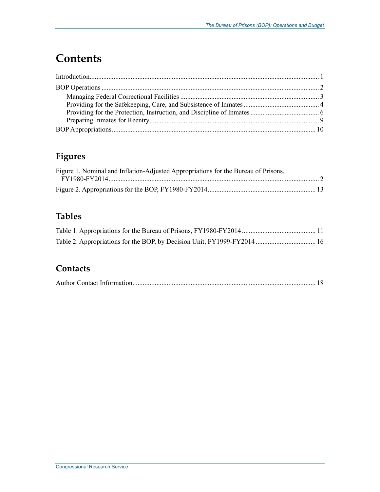## **Contents**

### **Figures**

| Figure 1. Nominal and Inflation-Adjusted Appropriations for the Bureau of Prisons, |  |
|------------------------------------------------------------------------------------|--|
|                                                                                    |  |
|                                                                                    |  |

### **Tables**

### **Contacts**

|--|--|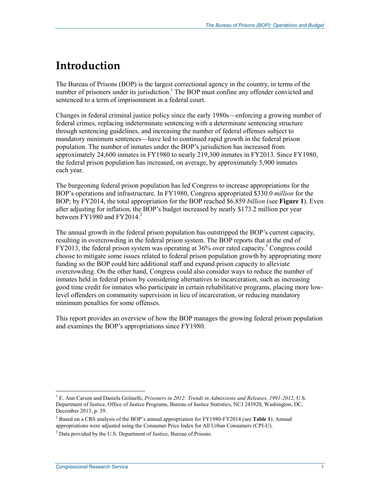### **Introduction**

The Bureau of Prisons (BOP) is the largest correctional agency in the country, in terms of the number of prisoners under its jurisdiction.<sup>1</sup> The BOP must confine any offender convicted and sentenced to a term of imprisonment in a federal court.

Changes in federal criminal justice policy since the early 1980s—enforcing a growing number of federal crimes, replacing indeterminate sentencing with a determinate sentencing structure through sentencing guidelines, and increasing the number of federal offenses subject to mandatory minimum sentences—have led to continued rapid growth in the federal prison population. The number of inmates under the BOP's jurisdiction has increased from approximately 24,600 inmates in FY1980 to nearly 219,300 inmates in FY2013. Since FY1980, the federal prison population has increased, on average, by approximately 5,900 inmates each year.

The burgeoning federal prison population has led Congress to increase appropriations for the BOP's operations and infrastructure. In FY1980, Congress appropriated \$330.0 *million* for the BOP; by FY2014, the total appropriation for the BOP reached \$6.859 *billion* (see **Figure 1**). Even after adjusting for inflation, the BOP's budget increased by nearly \$173.2 million per year between FY1980 and FY2014.<sup>2</sup>

The annual growth in the federal prison population has outstripped the BOP's current capacity, resulting in overcrowding in the federal prison system. The BOP reports that at the end of FY2013, the federal prison system was operating at 36% over rated capacity.<sup>3</sup> Congress could choose to mitigate some issues related to federal prison population growth by appropriating more funding so the BOP could hire additional staff and expand prison capacity to alleviate overcrowding. On the other hand, Congress could also consider ways to reduce the number of inmates held in federal prison by considering alternatives to incarceration, such as increasing good time credit for inmates who participate in certain rehabilitative programs, placing more lowlevel offenders on community supervision in lieu of incarceration, or reducing mandatory minimum penalties for some offenses.

This report provides an overview of how the BOP manages the growing federal prison population and examines the BOP's appropriations since FY1980.

<sup>&</sup>lt;sup>1</sup> E. Ann Carson and Daniela Golinelli, *Prisoners in 2012: Trends in Admissions and Releases, 1991-2012*, U.S. Department of Justice, Office of Justice Programs, Bureau of Justice Statistics, NCJ 243920, Washington, DC, December 2013, p. 39.

<sup>2</sup> Based on a CRS analysis of the BOP's annual appropriation for FY1980-FY2014 (see **Table 1**). Annual appropriations were adjusted using the Consumer Price Index for All Urban Consumers (CPI-U).

<sup>&</sup>lt;sup>3</sup> Data provided by the U.S. Department of Justice, Bureau of Prisons.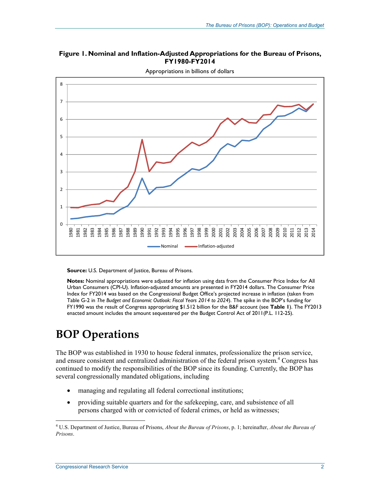#### **Figure 1. Nominal and Inflation-Adjusted Appropriations for the Bureau of Prisons, FY1980-FY2014**



Appropriations in billions of dollars

**Source: U.S. Department of Justice, Bureau of Prisons.** 

**Notes:** Nominal appropriations were adjusted for inflation using data from the Consumer Price Index for All Urban Consumers (CPI-U). Inflation-adjusted amounts are presented in FY2014 dollars. The Consumer Price Index for FY2014 was based on the Congressional Budget Office's projected increase in inflation (taken from Table G-2 in *The Budget and Economic Outlook: Fiscal Years 2014 to 2024*). The spike in the BOP's funding for FY1990 was the result of Congress appropriating \$1.512 billion for the B&F account (see **Table 1**). The FY2013 enacted amount includes the amount sequestered per the Budget Control Act of 2011(P.L. 112-25).

## **BOP Operations**

The BOP was established in 1930 to house federal inmates, professionalize the prison service, and ensure consistent and centralized administration of the federal prison system.<sup>4</sup> Congress has continued to modify the responsibilities of the BOP since its founding. Currently, the BOP has several congressionally mandated obligations, including

- managing and regulating all federal correctional institutions;
- providing suitable quarters and for the safekeeping, care, and subsistence of all persons charged with or convicted of federal crimes, or held as witnesses;

 4 U.S. Department of Justice, Bureau of Prisons, *About the Bureau of Prisons*, p. 1; hereinafter, *About the Bureau of Prisons*.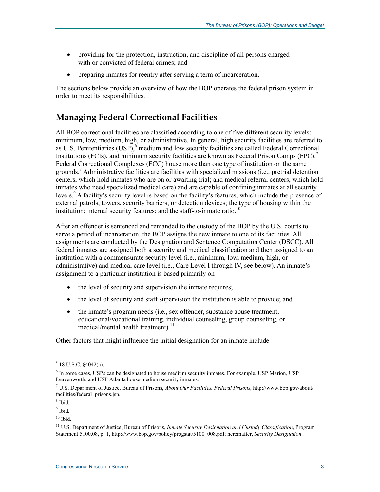- providing for the protection, instruction, and discipline of all persons charged with or convicted of federal crimes; and
- preparing inmates for reentry after serving a term of incarceration.<sup>5</sup>

The sections below provide an overview of how the BOP operates the federal prison system in order to meet its responsibilities.

#### **Managing Federal Correctional Facilities**

All BOP correctional facilities are classified according to one of five different security levels: minimum, low, medium, high, or administrative. In general, high security facilities are referred to as U.S. Penitentiaries  $(USP)$ ,  $6$  medium and low security facilities are called Federal Correctional Institutions (FCIs), and minimum security facilities are known as Federal Prison Camps (FPC).<sup>7</sup> Federal Correctional Complexes (FCC) house more than one type of institution on the same grounds.<sup>8</sup> Administrative facilities are facilities with specialized missions (i.e., pretrial detention centers, which hold inmates who are on or awaiting trial; and medical referral centers, which hold inmates who need specialized medical care) and are capable of confining inmates at all security levels.<sup>9</sup> A facility's security level is based on the facility's features, which include the presence of external patrols, towers, security barriers, or detection devices; the type of housing within the institution; internal security features; and the staff-to-inmate ratio.<sup>10</sup>

After an offender is sentenced and remanded to the custody of the BOP by the U.S. courts to serve a period of incarceration, the BOP assigns the new inmate to one of its facilities. All assignments are conducted by the Designation and Sentence Computation Center (DSCC). All federal inmates are assigned both a security and medical classification and then assigned to an institution with a commensurate security level (i.e., minimum, low, medium, high, or administrative) and medical care level (i.e., Care Level I through IV, see below). An inmate's assignment to a particular institution is based primarily on

- the level of security and supervision the inmate requires;
- the level of security and staff supervision the institution is able to provide; and
- the inmate's program needs (i.e., sex offender, substance abuse treatment, educational/vocational training, individual counseling, group counseling, or medical/mental health treatment). $^{11}$

Other factors that might influence the initial designation for an inmate include

 $5$  18 U.S.C.  $§$ 4042(a).

<sup>&</sup>lt;sup>6</sup> In some cases, USPs can be designated to house medium security inmates. For example, USP Marion, USP Leavenworth, and USP Atlanta house medium security inmates.

<sup>7</sup> U.S. Department of Justice, Bureau of Prisons, *About Our Facilities, Federal Prisons*, http://www.bop.gov/about/ facilities/federal\_prisons.jsp.

<sup>8</sup> Ibid.

<sup>&</sup>lt;sup>9</sup> Ibid.

 $10$  Ibid.

<sup>11</sup> U.S. Department of Justice, Bureau of Prisons, *Inmate Security Designation and Custody Classification*, Program Statement 5100.08, p. 1, http://www.bop.gov/policy/progstat/5100\_008.pdf; hereinafter, *Security Designation*.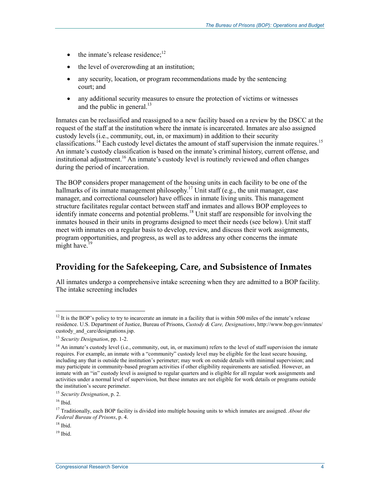- the inmate's release residence; $^{12}$
- the level of overcrowding at an institution;
- any security, location, or program recommendations made by the sentencing court; and
- any additional security measures to ensure the protection of victims or witnesses and the public in general. $^{13}$

Inmates can be reclassified and reassigned to a new facility based on a review by the DSCC at the request of the staff at the institution where the inmate is incarcerated. Inmates are also assigned custody levels (i.e., community, out, in, or maximum) in addition to their security classifications.<sup>14</sup> Each custody level dictates the amount of staff supervision the inmate requires.<sup>15</sup> An inmate's custody classification is based on the inmate's criminal history, current offense, and institutional adjustment.<sup>16</sup> An inmate's custody level is routinely reviewed and often changes during the period of incarceration.

The BOP considers proper management of the housing units in each facility to be one of the hallmarks of its inmate management philosophy.<sup>17</sup> Unit staff (e.g., the unit manager, case manager, and correctional counselor) have offices in inmate living units. This management structure facilitates regular contact between staff and inmates and allows BOP employees to identify inmate concerns and potential problems.<sup>18</sup> Unit staff are responsible for involving the inmates housed in their units in programs designed to meet their needs (see below). Unit staff meet with inmates on a regular basis to develop, review, and discuss their work assignments, program opportunities, and progress, as well as to address any other concerns the inmate might have. $19$ 

#### **Providing for the Safekeeping, Care, and Subsistence of Inmates**

All inmates undergo a comprehensive intake screening when they are admitted to a BOP facility. The intake screening includes

 $12$  It is the BOP's policy to try to incarcerate an inmate in a facility that is within 500 miles of the inmate's release residence. U.S. Department of Justice, Bureau of Prisons, *Custody & Care, Designations*, http://www.bop.gov/inmates/ custody and care/designations.jsp.

<sup>13</sup> *Security Designation*, pp. 1-2.

 $14$  An inmate's custody level (i.e., community, out, in, or maximum) refers to the level of staff supervision the inmate requires. For example, an inmate with a "community" custody level may be eligible for the least secure housing, including any that is outside the institution's perimeter; may work on outside details with minimal supervision; and may participate in community-based program activities if other eligibility requirements are satisfied. However, an inmate with an "in" custody level is assigned to regular quarters and is eligible for all regular work assignments and activities under a normal level of supervision, but these inmates are not eligible for work details or programs outside the institution's secure perimeter.

<sup>15</sup> *Security Designation*, p. 2.

 $16$  Ibid.

<sup>17</sup> Traditionally, each BOP facility is divided into multiple housing units to which inmates are assigned. *About the Federal Bureau of Prisons*, p. 4.

 $18$  Ibid.

 $19$  Ibid.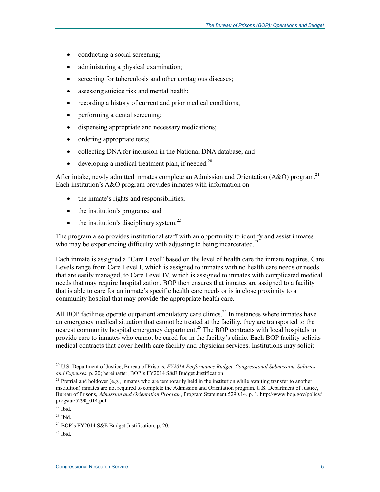- conducting a social screening;
- administering a physical examination;
- screening for tuberculosis and other contagious diseases;
- assessing suicide risk and mental health;
- recording a history of current and prior medical conditions;
- performing a dental screening;
- dispensing appropriate and necessary medications;
- ordering appropriate tests;
- collecting DNA for inclusion in the National DNA database; and
- developing a medical treatment plan, if needed.<sup>20</sup>

After intake, newly admitted inmates complete an Admission and Orientation (A&O) program.<sup>21</sup> Each institution's A&O program provides inmates with information on

- the inmate's rights and responsibilities;
- the institution's programs; and
- $\bullet$  the institution's disciplinary system.<sup>22</sup>

The program also provides institutional staff with an opportunity to identify and assist inmates who may be experiencing difficulty with adjusting to being incarcerated.<sup>23</sup>

Each inmate is assigned a "Care Level" based on the level of health care the inmate requires. Care Levels range from Care Level I, which is assigned to inmates with no health care needs or needs that are easily managed, to Care Level IV, which is assigned to inmates with complicated medical needs that may require hospitalization. BOP then ensures that inmates are assigned to a facility that is able to care for an inmate's specific health care needs or is in close proximity to a community hospital that may provide the appropriate health care.

All BOP facilities operate outpatient ambulatory care clinics.<sup>24</sup> In instances where inmates have an emergency medical situation that cannot be treated at the facility, they are transported to the nearest community hospital emergency department.<sup>25</sup> The BOP contracts with local hospitals to provide care to inmates who cannot be cared for in the facility's clinic. Each BOP facility solicits medical contracts that cover health care facility and physician services. Institutions may solicit

 $25$  Ibid.

<sup>1</sup> 20 U.S. Department of Justice, Bureau of Prisons, *FY2014 Performance Budget, Congressional Submission, Salaries and Expenses*, p. 20; hereinafter, BOP's FY2014 S&E Budget Justification.

<sup>&</sup>lt;sup>21</sup> Pretrial and holdover (e.g., inmates who are temporarily held in the institution while awaiting transfer to another institution) inmates are not required to complete the Admission and Orientation program. U.S. Department of Justice, Bureau of Prisons, *Admission and Orientation Program*, Program Statement 5290.14, p. 1, http://www.bop.gov/policy/ progstat/5290\_014.pdf.

 $22$  Ibid.

<sup>23</sup> Ibid.

<sup>&</sup>lt;sup>24</sup> BOP's FY2014 S&E Budget Justification, p. 20.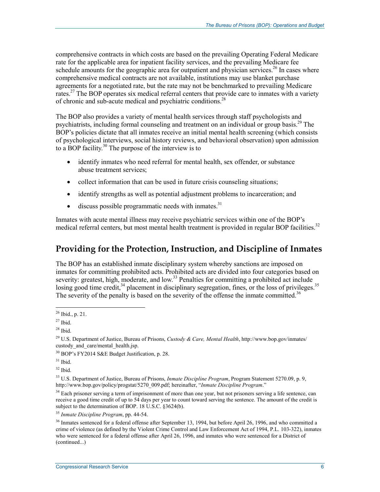comprehensive contracts in which costs are based on the prevailing Operating Federal Medicare rate for the applicable area for inpatient facility services, and the prevailing Medicare fee schedule amounts for the geographic area for outpatient and physician services.<sup>26</sup> In cases where comprehensive medical contracts are not available, institutions may use blanket purchase agreements for a negotiated rate, but the rate may not be benchmarked to prevailing Medicare rates.<sup>27</sup> The BOP operates six medical referral centers that provide care to inmates with a variety of chronic and sub-acute medical and psychiatric conditions.<sup>28</sup>

The BOP also provides a variety of mental health services through staff psychologists and psychiatrists, including formal counseling and treatment on an individual or group basis.29 The BOP's policies dictate that all inmates receive an initial mental health screening (which consists of psychological interviews, social history reviews, and behavioral observation) upon admission to a BOP facility.<sup>30</sup> The purpose of the interview is to

- identify inmates who need referral for mental health, sex offender, or substance abuse treatment services;
- collect information that can be used in future crisis counseling situations;
- identify strengths as well as potential adjustment problems to incarceration; and
- $\bullet$  discuss possible programmatic needs with inmates.<sup>31</sup>

Inmates with acute mental illness may receive psychiatric services within one of the BOP's medical referral centers, but most mental health treatment is provided in regular BOP facilities.<sup>32</sup>

#### **Providing for the Protection, Instruction, and Discipline of Inmates**

The BOP has an established inmate disciplinary system whereby sanctions are imposed on inmates for committing prohibited acts. Prohibited acts are divided into four categories based on severity: greatest, high, moderate, and low.<sup>33</sup> Penalties for committing a prohibited act include losing good time credit, $34$  placement in disciplinary segregation, fines, or the loss of privileges.<sup>35</sup> The severity of the penalty is based on the severity of the offense the inmate committed.<sup>36</sup>

 $31$  Ibid.

 $32$  Ibid.

33 U.S. Department of Justice, Bureau of Prisons, *Inmate Discipline Program*, Program Statement 5270.09, p. 9, http://www.bop.gov/policy/progstat/5270\_009.pdf; hereinafter, "*Inmate Discipline Program*."

 $34$  Each prisoner serving a term of imprisonment of more than one year, but not prisoners serving a life sentence, can receive a good time credit of up to 54 days per year to count toward serving the sentence. The amount of the credit is subject to the determination of BOP. 18 U.S.C. §3624(b).

<sup>1</sup>  $^{26}$  Ibid., p. 21.

 $27$  Ibid.

 $28$  Ibid.

<sup>29</sup> U.S. Department of Justice, Bureau of Prisons, *Custody & Care, Mental Health*, http://www.bop.gov/inmates/ custody and care/mental health.jsp.

<sup>&</sup>lt;sup>30</sup> BOP's FY2014 S&E Budget Justification, p. 28.

<sup>35</sup> *Inmate Discipline Program*, pp. 44-54.

<sup>&</sup>lt;sup>36</sup> Inmates sentenced for a federal offense after September 13, 1994, but before April 26, 1996, and who committed a crime of violence (as defined by the Violent Crime Control and Law Enforcement Act of 1994, P.L. 103-322), inmates who were sentenced for a federal offense after April 26, 1996, and inmates who were sentenced for a District of (continued...)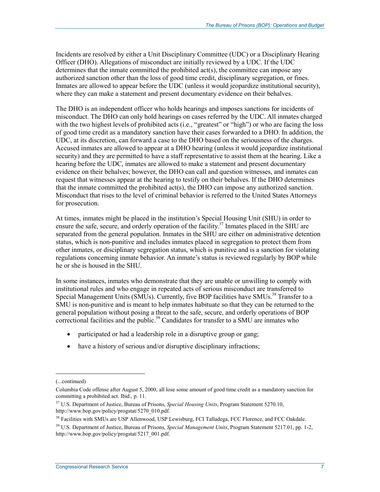Incidents are resolved by either a Unit Disciplinary Committee (UDC) or a Disciplinary Hearing Officer (DHO). Allegations of misconduct are initially reviewed by a UDC. If the UDC determines that the inmate committed the prohibited act(s), the committee can impose any authorized sanction other than the loss of good time credit, disciplinary segregation, or fines. Inmates are allowed to appear before the UDC (unless it would jeopardize institutional security), where they can make a statement and present documentary evidence on their behalves.

The DHO is an independent officer who holds hearings and imposes sanctions for incidents of misconduct. The DHO can only hold hearings on cases referred by the UDC. All inmates charged with the two highest levels of prohibited acts (i.e., "greatest" or "high") or who are facing the loss of good time credit as a mandatory sanction have their cases forwarded to a DHO. In addition, the UDC, at its discretion, can forward a case to the DHO based on the seriousness of the charges. Accused inmates are allowed to appear at a DHO hearing (unless it would jeopardize institutional security) and they are permitted to have a staff representative to assist them at the hearing. Like a hearing before the UDC, inmates are allowed to make a statement and present documentary evidence on their behalves; however, the DHO can call and question witnesses, and inmates can request that witnesses appear at the hearing to testify on their behalves. If the DHO determines that the inmate committed the prohibited act(s), the DHO can impose any authorized sanction. Misconduct that rises to the level of criminal behavior is referred to the United States Attorneys for prosecution.

At times, inmates might be placed in the institution's Special Housing Unit (SHU) in order to ensure the safe, secure, and orderly operation of the facility.<sup>37</sup> Inmates placed in the SHU are separated from the general population. Inmates in the SHU are either on administrative detention status, which is non-punitive and includes inmates placed in segregation to protect them from other inmates, or disciplinary segregation status, which is punitive and is a sanction for violating regulations concerning inmate behavior. An inmate's status is reviewed regularly by BOP while he or she is housed in the SHU.

In some instances, inmates who demonstrate that they are unable or unwilling to comply with institutional rules and who engage in repeated acts of serious misconduct are transferred to Special Management Units (SMUs). Currently, five BOP facilities have SMUs.<sup>38</sup> Transfer to a SMU is non-punitive and is meant to help inmates habituate so that they can be returned to the general population without posing a threat to the safe, secure, and orderly operations of BOP  $\frac{1}{2}$  correctional facilities and the public.<sup>39</sup> Candidates for transfer to a SMU are inmates who

- participated or had a leadership role in a disruptive group or gang;
- have a history of serious and/or disruptive disciplinary infractions;

<sup>(...</sup>continued)

Columbia Code offense after August 5, 2000, all lose some amount of good time credit as a mandatory sanction for committing a prohibited act. Ibid., p. 11.

<sup>37</sup> U.S. Department of Justice, Bureau of Prisons, *Special Housing Units*, Program Statement 5270.10, http://www.bop.gov/policy/progstat/5270\_010.pdf.

<sup>&</sup>lt;sup>38</sup> Facilities with SMUs are USP Allenwood, USP Lewisburg, FCI Talladega, FCC Florence, and FCC Oakdale.

<sup>39</sup> U.S. Department of Justice, Bureau of Prisons, *Special Management Units*, Program Statement 5217.01, pp. 1-2, http://www.bop.gov/policy/progstat/5217\_001.pdf.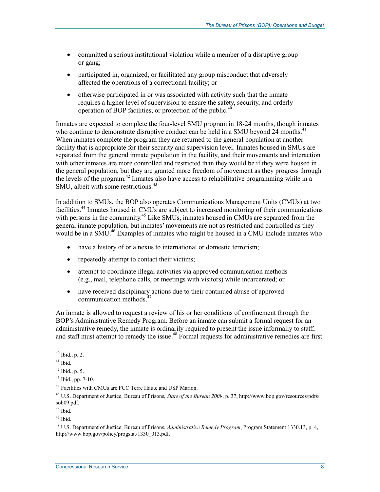- committed a serious institutional violation while a member of a disruptive group or gang;
- participated in, organized, or facilitated any group misconduct that adversely affected the operations of a correctional facility; or
- otherwise participated in or was associated with activity such that the inmate requires a higher level of supervision to ensure the safety, security, and orderly operation of BOP facilities, or protection of the public.<sup>40</sup>

Inmates are expected to complete the four-level SMU program in 18-24 months, though inmates who continue to demonstrate disruptive conduct can be held in a SMU beyond 24 months.<sup>41</sup> When inmates complete the program they are returned to the general population at another facility that is appropriate for their security and supervision level. Inmates housed in SMUs are separated from the general inmate population in the facility, and their movements and interaction with other inmates are more controlled and restricted than they would be if they were housed in the general population, but they are granted more freedom of movement as they progress through the levels of the program.<sup>42</sup> Inmates also have access to rehabilitative programming while in a SMU, albeit with some restrictions.<sup>43</sup>

In addition to SMUs, the BOP also operates Communications Management Units (CMUs) at two facilities.44 Inmates housed in CMUs are subject to increased monitoring of their communications with persons in the community.<sup>45</sup> Like SMUs, inmates housed in CMUs are separated from the general inmate population, but inmates' movements are not as restricted and controlled as they would be in a  $\text{SMU}^{46}$  Examples of inmates who might be housed in a CMU include inmates who

- have a history of or a nexus to international or domestic terrorism;
- repeatedly attempt to contact their victims;
- attempt to coordinate illegal activities via approved communication methods (e.g., mail, telephone calls, or meetings with visitors) while incarcerated; or
- have received disciplinary actions due to their continued abuse of approved communication methods<sup>4</sup>

An inmate is allowed to request a review of his or her conditions of confinement through the BOP's Administrative Remedy Program. Before an inmate can submit a formal request for an administrative remedy, the inmate is ordinarily required to present the issue informally to staff, and staff must attempt to remedy the issue.<sup>48</sup> Formal requests for administrative remedies are first

<u>.</u>

 $40$  Ibid., p. 2.

 $41$  Ibid.

<sup>42</sup> Ibid., p. 5.

<sup>43</sup> Ibid., pp. 7-10.

<sup>44</sup> Facilities with CMUs are FCC Terre Haute and USP Marion.

<sup>45</sup> U.S. Department of Justice, Bureau of Prisons, *State of the Bureau 2009*, p. 37, http://www.bop.gov/resources/pdfs/ sob09.pdf.

<sup>46</sup> Ibid.

 $47$  Ibid.

<sup>48</sup> U.S. Department of Justice, Bureau of Prisons, *Administrative Remedy Program*, Program Statement 1330.13, p. 4, http://www.bop.gov/policy/progstat/1330\_013.pdf.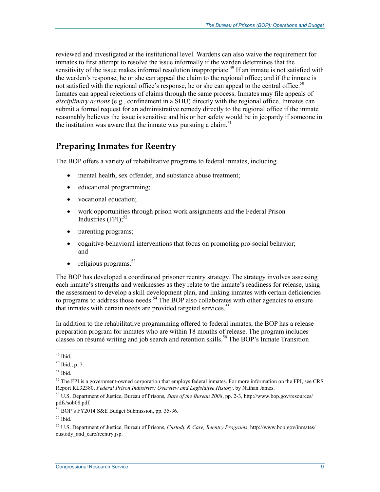reviewed and investigated at the institutional level. Wardens can also waive the requirement for inmates to first attempt to resolve the issue informally if the warden determines that the sensitivity of the issue makes informal resolution inappropriate.<sup>49</sup> If an inmate is not satisfied with the warden's response, he or she can appeal the claim to the regional office; and if the inmate is not satisfied with the regional office's response, he or she can appeal to the central office.<sup>50</sup> Inmates can appeal rejections of claims through the same process. Inmates may file appeals of *disciplinary actions* (e.g., confinement in a SHU) directly with the regional office. Inmates can submit a formal request for an administrative remedy directly to the regional office if the inmate reasonably believes the issue is sensitive and his or her safety would be in jeopardy if someone in the institution was aware that the inmate was pursuing a claim.<sup>51</sup>

#### **Preparing Inmates for Reentry**

The BOP offers a variety of rehabilitative programs to federal inmates, including

- mental health, sex offender, and substance abuse treatment;
- educational programming;
- vocational education;
- work opportunities through prison work assignments and the Federal Prison Industries  $(FPI)$ ;<sup>52</sup>
- parenting programs;
- cognitive-behavioral interventions that focus on promoting pro-social behavior; and
- $\bullet$  religious programs.<sup>53</sup>

The BOP has developed a coordinated prisoner reentry strategy. The strategy involves assessing each inmate's strengths and weaknesses as they relate to the inmate's readiness for release, using the assessment to develop a skill development plan, and linking inmates with certain deficiencies to programs to address those needs.<sup>54</sup> The BOP also collaborates with other agencies to ensure that inmates with certain needs are provided targeted services.<sup>55</sup>

In addition to the rehabilitative programming offered to federal inmates, the BOP has a release preparation program for inmates who are within 18 months of release. The program includes classes on résumé writing and job search and retention skills.<sup>56</sup> The BOP's Inmate Transition

<sup>&</sup>lt;u>.</u>  $49$  Ibid.

 $50$  Ibid., p. 7.

 $51$  Ibid.

<sup>&</sup>lt;sup>52</sup> The FPI is a government-owned corporation that employs federal inmates. For more information on the FPI, see CRS Report RL32380, *Federal Prison Industries: Overview and Legislative History*, by Nathan James.

<sup>53</sup> U.S. Department of Justice, Bureau of Prisons, *State of the Bureau 2008*, pp. 2-3, http://www.bop.gov/resources/ pdfs/sob08.pdf.

<sup>54</sup> BOP's FY2014 S&E Budget Submission, pp. 35-36.

<sup>55</sup> Ibid.

<sup>56</sup> U.S. Department of Justice, Bureau of Prisons, *Custody & Care, Reentry Programs*, http://www.bop.gov/inmates/ custody and care/reentry.jsp.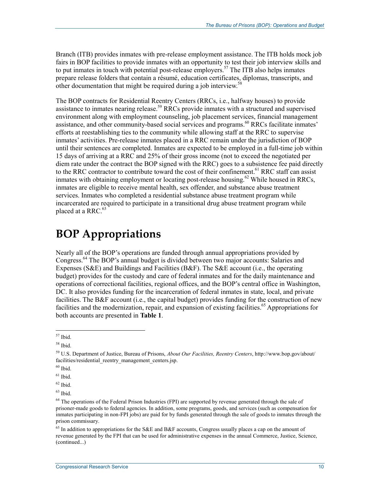Branch (ITB) provides inmates with pre-release employment assistance. The ITB holds mock job fairs in BOP facilities to provide inmates with an opportunity to test their job interview skills and to put inmates in touch with potential post-release employers.<sup>57</sup> The ITB also helps inmates prepare release folders that contain a résumé, education certificates, diplomas, transcripts, and other documentation that might be required during a job interview.<sup>5</sup>

The BOP contracts for Residential Reentry Centers (RRCs, i.e., halfway houses) to provide assistance to inmates nearing release.<sup>59</sup> RRCs provide inmates with a structured and supervised environment along with employment counseling, job placement services, financial management assistance, and other community-based social services and programs.<sup>60</sup> RRCs facilitate inmates' efforts at reestablishing ties to the community while allowing staff at the RRC to supervise inmates' activities. Pre-release inmates placed in a RRC remain under the jurisdiction of BOP until their sentences are completed. Inmates are expected to be employed in a full-time job within 15 days of arriving at a RRC and 25% of their gross income (not to exceed the negotiated per diem rate under the contract the BOP signed with the RRC) goes to a subsistence fee paid directly to the RRC contractor to contribute toward the cost of their confinement.<sup>61</sup> RRC staff can assist in the case commutes to contain the commutation of the contract contains the commutes with obtaining employment or locating post-release housing.<sup>62</sup> While housed in RRCs, inmates are eligible to receive mental health, sex offender, and substance abuse treatment services. Inmates who completed a residential substance abuse treatment program while incarcerated are required to participate in a transitional drug abuse treatment program while placed at a RRC.<sup>63</sup>

### **BOP Appropriations**

Nearly all of the BOP's operations are funded through annual appropriations provided by Congress.64 The BOP's annual budget is divided between two major accounts: Salaries and Expenses (S&E) and Buildings and Facilities (B&F). The S&E account (i.e., the operating budget) provides for the custody and care of federal inmates and for the daily maintenance and operations of correctional facilities, regional offices, and the BOP's central office in Washington, DC. It also provides funding for the incarceration of federal inmates in state, local, and private facilities. The B&F account (i.e., the capital budget) provides funding for the construction of new facilities and the modernization, repair, and expansion of existing facilities.<sup>65</sup> Appropriations for both accounts are presented in **Table 1**.

<u>.</u>

 $57$  Ibid.

<sup>58</sup> Ibid.

<sup>59</sup> U.S. Department of Justice, Bureau of Prisons, *About Our Facilities, Reentry Centers*, http://www.bop.gov/about/ facilities/residential\_reentry\_management\_centers.jsp.

 $^{60}$  Ibid.

 $61$  Ibid.

 $62$  Ibid.

 $63$  Ibid.

<sup>&</sup>lt;sup>64</sup> The operations of the Federal Prison Industries (FPI) are supported by revenue generated through the sale of prisoner-made goods to federal agencies. In addition, some programs, goods, and services (such as compensation for inmates participating in non-FPI jobs) are paid for by funds generated through the sale of goods to inmates through the prison commissary.

<sup>&</sup>lt;sup>65</sup> In addition to appropriations for the S&E and B&F accounts, Congress usually places a cap on the amount of revenue generated by the FPI that can be used for administrative expenses in the annual Commerce, Justice, Science, (continued...)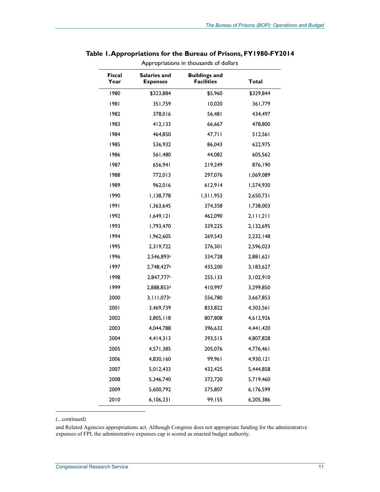| Appropriations in thousands of dollars |                                        |                                           |              |  |  |
|----------------------------------------|----------------------------------------|-------------------------------------------|--------------|--|--|
| <b>Fiscal</b><br>Year                  | <b>Salaries and</b><br><b>Expenses</b> | <b>Buildings and</b><br><b>Facilities</b> | <b>Total</b> |  |  |
| 1980                                   | \$323,884                              | \$5,960                                   | \$329,844    |  |  |
| 1981                                   | 351,759                                | 10,020                                    | 361,779      |  |  |
| 1982                                   | 378,016                                | 56,481                                    | 434,497      |  |  |
| 1983                                   | 412, 133                               | 66,667                                    | 478,800      |  |  |
| 1984                                   | 464,850                                | 47,711                                    | 512,561      |  |  |
| 1985                                   | 536,932                                | 86,043                                    | 622,975      |  |  |
| 1986                                   | 561,480                                | 44,082                                    | 605,562      |  |  |
| 1987                                   | 656,941                                | 219,249                                   | 876,190      |  |  |
| 1988                                   | 772,013                                | 297,076                                   | 1,069,089    |  |  |
| 1989                                   | 962,016                                | 612,914                                   | 1,574,930    |  |  |
| 1990                                   | 1,138,778                              | 1,511,953                                 | 2,650,731    |  |  |
| 1991                                   | 1,363,645                              | 374,358                                   | 1,738,003    |  |  |
| 1992                                   | 1,649,121                              | 462,090                                   | 2,111,211    |  |  |
| 1993                                   | 1,793,470                              | 339,225                                   | 2,132,695    |  |  |
| 1994                                   | 1,962,605                              | 269,543                                   | 2,232,148    |  |  |
| 1995                                   | 2,319,722                              | 276,301                                   | 2,596,023    |  |  |
| 1996                                   | 2,546,893 <sup>a</sup>                 | 334,728                                   | 2,881,621    |  |  |
| 1997                                   | 2,748,427b                             | 435,200                                   | 3,183,627    |  |  |
| 1998                                   | 2,847,777c                             | 255,133                                   | 3,102,910    |  |  |
| 1999                                   | 2,888,853d                             | 410,997                                   | 3,299,850    |  |  |
| 2000                                   | 3,111,073 <sup>e</sup>                 | 556,780                                   | 3,667,853    |  |  |
| 2001                                   | 3,469,739                              | 833,822                                   | 4,303,561    |  |  |
| 2002                                   | 3,805,118                              | 807,808                                   | 4,612,926    |  |  |
| 2003                                   | 4,044,788                              | 396,632                                   | 4,441,420    |  |  |
| 2004                                   | 4,414,313                              | 393,515                                   | 4,807,828    |  |  |
| 2005                                   | 4,571,385                              | 205,076                                   | 4,776,461    |  |  |
| 2006                                   | 4,830,160                              | 99,961                                    | 4,930,121    |  |  |
| 2007                                   | 5,012,433                              | 432,425                                   | 5,444,858    |  |  |
| 2008                                   | 5,346,740                              | 372,720                                   | 5,719,460    |  |  |
| 2009                                   | 5,600,792                              | 575,807                                   | 6,176,599    |  |  |
| 2010                                   | 6,106,231                              | 99,155                                    | 6,205,386    |  |  |

#### **Table 1. Appropriations for the Bureau of Prisons, FY1980-FY2014**

(...continued)

1

and Related Agencies appropriations act. Although Congress does not appropriate funding for the administrative expenses of FPI, the administrative expenses cap is scored as enacted budget authority.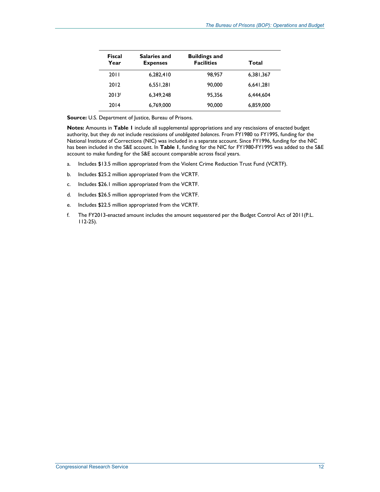| Fiscal<br>Year | Salaries and<br><b>Expenses</b> | <b>Buildings and</b><br><b>Facilities</b> | Total     |
|----------------|---------------------------------|-------------------------------------------|-----------|
| 2011           | 6,282,410                       | 98.957                                    | 6,381,367 |
| 2012           | 6.551.281                       | 90,000                                    | 6,641,281 |
| 2013f          | 6,349,248                       | 95.356                                    | 6.444.604 |
| 2014           | 6.769.000                       | 90,000                                    | 6,859,000 |

**Source:** U.S. Department of Justice, Bureau of Prisons.

**Notes:** Amounts in **Table 1** include all supplemental appropriations and any rescissions of enacted budget authority, but they *do not* include rescissions of *unobligated balances*. From FY1980 to FY1995, funding for the National Institute of Corrections (NIC) was included in a separate account. Since FY1996, funding for the NIC has been included in the S&E account. In **Table 1**, funding for the NIC for FY1980-FY1995 was added to the S&E account to make funding for the S&E account comparable across fiscal years.

- a. Includes \$13.5 million appropriated from the Violent Crime Reduction Trust Fund (VCRTF).
- b. Includes \$25.2 million appropriated from the VCRTF.
- c. Includes \$26.1 million appropriated from the VCRTF.
- d. Includes \$26.5 million appropriated from the VCRTF.
- e. Includes \$22.5 million appropriated from the VCRTF.
- f. The FY2013-enacted amount includes the amount sequestered per the Budget Control Act of 2011(P.L. 112-25).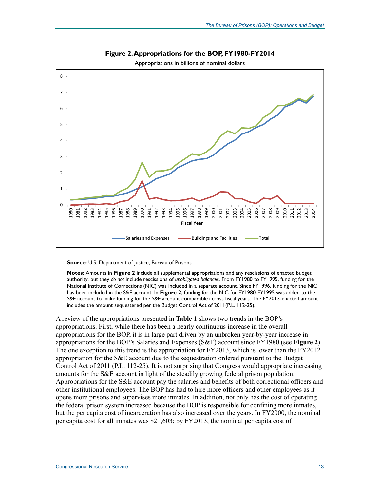

**Figure 2. Appropriations for the BOP, FY1980-FY2014** 

Appropriations in billions of nominal dollars

**Source:** U.S. Department of Justice, Bureau of Prisons.

**Notes:** Amounts in **Figure 2** include all supplemental appropriations and any rescissions of enacted budget authority, but they *do not* include rescissions of *unobligated balances*. From FY1980 to FY1995, funding for the National Institute of Corrections (NIC) was included in a separate account. Since FY1996, funding for the NIC has been included in the S&E account. In **Figure 2**, funding for the NIC for FY1980-FY1995 was added to the S&E account to make funding for the S&E account comparable across fiscal years. The FY2013-enacted amount includes the amount sequestered per the Budget Control Act of 2011(P.L. 112-25).

A review of the appropriations presented in **Table 1** shows two trends in the BOP's appropriations. First, while there has been a nearly continuous increase in the overall appropriations for the BOP, it is in large part driven by an unbroken year-by-year increase in appropriations for the BOP's Salaries and Expenses (S&E) account since FY1980 (see **Figure 2**). The one exception to this trend is the appropriation for FY2013, which is lower than the FY2012 appropriation for the S&E account due to the sequestration ordered pursuant to the Budget Control Act of 2011 (P.L. 112-25). It is not surprising that Congress would appropriate increasing amounts for the S&E account in light of the steadily growing federal prison population. Appropriations for the S&E account pay the salaries and benefits of both correctional officers and other institutional employees. The BOP has had to hire more officers and other employees as it opens more prisons and supervises more inmates. In addition, not only has the cost of operating the federal prison system increased because the BOP is responsible for confining more inmates, but the per capita cost of incarceration has also increased over the years. In FY2000, the nominal per capita cost for all inmates was \$21,603; by FY2013, the nominal per capita cost of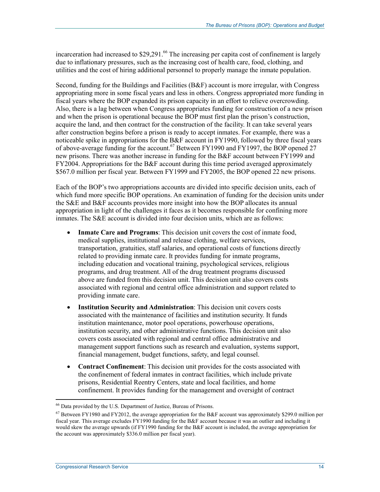incarceration had increased to  $$29,291<sup>66</sup>$  The increasing per capita cost of confinement is largely due to inflationary pressures, such as the increasing cost of health care, food, clothing, and utilities and the cost of hiring additional personnel to properly manage the inmate population.

Second, funding for the Buildings and Facilities (B&F) account is more irregular, with Congress appropriating more in some fiscal years and less in others. Congress appropriated more funding in fiscal years where the BOP expanded its prison capacity in an effort to relieve overcrowding. Also, there is a lag between when Congress appropriates funding for construction of a new prison and when the prison is operational because the BOP must first plan the prison's construction, acquire the land, and then contract for the construction of the facility. It can take several years after construction begins before a prison is ready to accept inmates. For example, there was a noticeable spike in appropriations for the B&F account in FY1990, followed by three fiscal years of above-average funding for the account.<sup>67</sup> Between FY1990 and FY1997, the BOP opened 27 new prisons. There was another increase in funding for the B&F account between FY1999 and FY2004. Appropriations for the B&F account during this time period averaged approximately \$567.0 million per fiscal year. Between FY1999 and FY2005, the BOP opened 22 new prisons.

Each of the BOP's two appropriations accounts are divided into specific decision units, each of which fund more specific BOP operations. An examination of funding for the decision units under the S&E and B&F accounts provides more insight into how the BOP allocates its annual appropriation in light of the challenges it faces as it becomes responsible for confining more inmates. The S&E account is divided into four decision units, which are as follows:

- **Inmate Care and Programs**: This decision unit covers the cost of inmate food, medical supplies, institutional and release clothing, welfare services, transportation, gratuities, staff salaries, and operational costs of functions directly related to providing inmate care. It provides funding for inmate programs, including education and vocational training, psychological services, religious programs, and drug treatment. All of the drug treatment programs discussed above are funded from this decision unit. This decision unit also covers costs associated with regional and central office administration and support related to providing inmate care.
- **Institution Security and Administration**: This decision unit covers costs associated with the maintenance of facilities and institution security. It funds institution maintenance, motor pool operations, powerhouse operations, institution security, and other administrative functions. This decision unit also covers costs associated with regional and central office administrative and management support functions such as research and evaluation, systems support, financial management, budget functions, safety, and legal counsel.
- **Contract Confinement**: This decision unit provides for the costs associated with the confinement of federal inmates in contract facilities, which include private prisons, Residential Reentry Centers, state and local facilities, and home confinement. It provides funding for the management and oversight of contract

<sup>66</sup> Data provided by the U.S. Department of Justice, Bureau of Prisons.

<sup>&</sup>lt;sup>67</sup> Between FY1980 and FY2012, the average appropriation for the B&F account was approximately \$299.0 million per fiscal year. This average excludes FY1990 funding for the B&F account because it was an outlier and including it would skew the average upwards (if FY1990 funding for the B&F account is included, the average appropriation for the account was approximately \$336.0 million per fiscal year).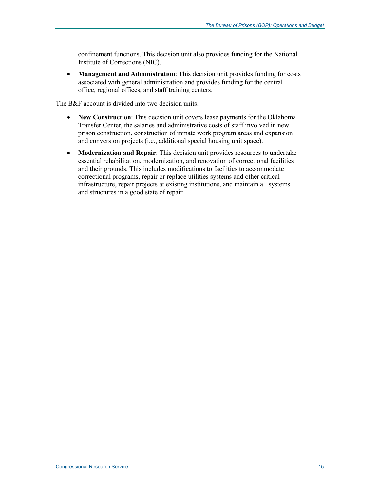confinement functions. This decision unit also provides funding for the National Institute of Corrections (NIC).

• **Management and Administration**: This decision unit provides funding for costs associated with general administration and provides funding for the central office, regional offices, and staff training centers.

The B&F account is divided into two decision units:

- **New Construction**: This decision unit covers lease payments for the Oklahoma Transfer Center, the salaries and administrative costs of staff involved in new prison construction, construction of inmate work program areas and expansion and conversion projects (i.e., additional special housing unit space).
- **Modernization and Repair**: This decision unit provides resources to undertake essential rehabilitation, modernization, and renovation of correctional facilities and their grounds. This includes modifications to facilities to accommodate correctional programs, repair or replace utilities systems and other critical infrastructure, repair projects at existing institutions, and maintain all systems and structures in a good state of repair.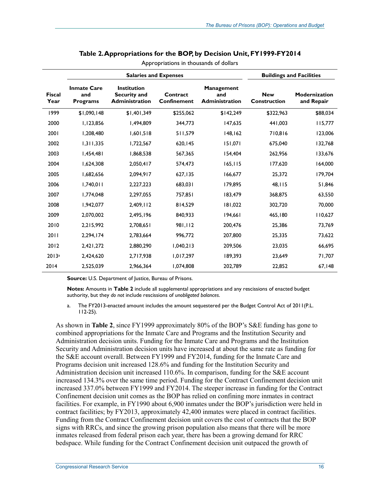|                       | <b>Salaries and Expenses</b>                 |                                                             |                         | <b>Buildings and Facilities</b>                   |                                   |                                    |
|-----------------------|----------------------------------------------|-------------------------------------------------------------|-------------------------|---------------------------------------------------|-----------------------------------|------------------------------------|
| <b>Fiscal</b><br>Year | <b>Inmate Care</b><br>and<br><b>Programs</b> | <b>Institution</b><br>Security and<br><b>Administration</b> | Contract<br>Confinement | <b>Management</b><br>and<br><b>Administration</b> | <b>New</b><br><b>Construction</b> | <b>Modernization</b><br>and Repair |
| 1999                  | \$1,090,148                                  | \$1,401,349                                                 | \$255,062               | \$142,249                                         | \$322,963                         | \$88,034                           |
| 2000                  | 1,123,856                                    | 1,494,809                                                   | 344,773                 | 147,635                                           | 441,003                           | 115,777                            |
| 2001                  | 1,208,480                                    | 1,601,518                                                   | 511,579                 | 148, 162                                          | 710,816                           | 123,006                            |
| 2002                  | 1,311,335                                    | 1,722,567                                                   | 620,145                 | 151,071                                           | 675.040                           | 132,768                            |
| 2003                  | 1,454,481                                    | 1,868,538                                                   | 567,365                 | 154,404                                           | 262.956                           | 133,676                            |
| 2004                  | 1,624,308                                    | 2,050,417                                                   | 574,473                 | 165, 115                                          | 177.620                           | 164,000                            |
| 2005                  | 1,682,656                                    | 2,094,917                                                   | 627,135                 | 166,677                                           | 25,372                            | 179,704                            |
| 2006                  | 1,740,011                                    | 2,227,223                                                   | 683,031                 | 179,895                                           | 48,115                            | 51,846                             |
| 2007                  | 1,774,048                                    | 2,297,055                                                   | 757,851                 | 183,479                                           | 368,875                           | 63,550                             |
| 2008                  | 1.942.077                                    | 2.409.112                                                   | 814,529                 | 181,022                                           | 302,720                           | 70,000                             |
| 2009                  | 2,070,002                                    | 2,495,196                                                   | 840,933                 | 194,661                                           | 465,180                           | 110,627                            |
| 2010                  | 2,215,992                                    | 2,708,651                                                   | 981,112                 | 200,476                                           | 25,386                            | 73,769                             |
| 2011                  | 2,294,174                                    | 2,783,664                                                   | 996,772                 | 207,800                                           | 25,335                            | 73,622                             |
| 2012                  | 2,421,272                                    | 2,880,290                                                   | 1,040,213               | 209,506                                           | 23,035                            | 66,695                             |
| 2013a                 | 2,424,620                                    | 2,717,938                                                   | 1,017,297               | 189,393                                           | 23,649                            | 71,707                             |
| 2014                  | 2,525,039                                    | 2,966,364                                                   | 1,074,808               | 202,789                                           | 22,852                            | 67,148                             |

#### **Table 2. Appropriations for the BOP, by Decision Unit, FY1999-FY2014**

Appropriations in thousands of dollars

**Source:** U.S. Department of Justice, Bureau of Prisons.

**Notes:** Amounts in **Table 2** include all supplemental appropriations and any rescissions of enacted budget authority, but they *do not* include rescissions of *unobligated balances*.

a. The FY2013-enacted amount includes the amount sequestered per the Budget Control Act of 2011(P.L. 112-25).

As shown in **Table 2**, since FY1999 approximately 80% of the BOP's S&E funding has gone to combined appropriations for the Inmate Care and Programs and the Institution Security and Administration decision units. Funding for the Inmate Care and Programs and the Institution Security and Administration decision units have increased at about the same rate as funding for the S&E account overall. Between FY1999 and FY2014, funding for the Inmate Care and Programs decision unit increased 128.6% and funding for the Institution Security and Administration decision unit increased 110.6%. In comparison, funding for the S&E account increased 134.3% over the same time period. Funding for the Contract Confinement decision unit increased 337.0% between FY1999 and FY2014. The steeper increase in funding for the Contract Confinement decision unit comes as the BOP has relied on confining more inmates in contract facilities. For example, in FY1990 about 6,900 inmates under the BOP's jurisdiction were held in contract facilities; by FY2013, approximately 42,400 inmates were placed in contract facilities. Funding from the Contract Confinement decision unit covers the cost of contracts that the BOP signs with RRCs, and since the growing prison population also means that there will be more inmates released from federal prison each year, there has been a growing demand for RRC bedspace. While funding for the Contract Confinement decision unit outpaced the growth of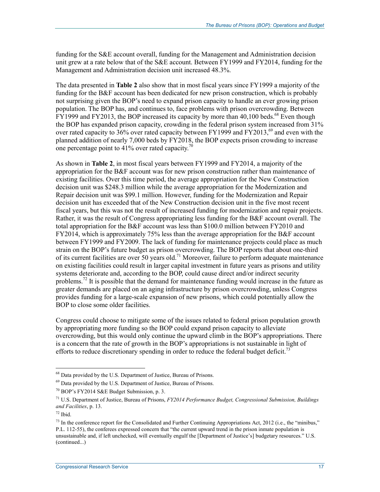funding for the S&E account overall, funding for the Management and Administration decision unit grew at a rate below that of the S&E account. Between FY1999 and FY2014, funding for the Management and Administration decision unit increased 48.3%.

The data presented in **Table 2** also show that in most fiscal years since FY1999 a majority of the funding for the B&F account has been dedicated for new prison construction, which is probably not surprising given the BOP's need to expand prison capacity to handle an ever growing prison population. The BOP has, and continues to, face problems with prison overcrowding. Between  $\text{FY1999}$  and FY2013, the BOP increased its capacity by more than 40,100 beds.<sup>68</sup> Even though the BOP has expanded prison capacity, crowding in the federal prison system increased from 31% over rated capacity to  $36\%$  over rated capacity between FY1999 and FY2013,<sup>69</sup> and even with the planned addition of nearly 7,000 beds by FY2018, the BOP expects prison crowding to increase one percentage point to  $41\%$  over rated capacity.<sup>7</sup>

As shown in **Table 2**, in most fiscal years between FY1999 and FY2014, a majority of the appropriation for the B&F account was for new prison construction rather than maintenance of existing facilities. Over this time period, the average appropriation for the New Construction decision unit was \$248.3 million while the average appropriation for the Modernization and Repair decision unit was \$99.1 million. However, funding for the Modernization and Repair decision unit has exceeded that of the New Construction decision unit in the five most recent fiscal years, but this was not the result of increased funding for modernization and repair projects. Rather, it was the result of Congress appropriating less funding for the B&F account overall. The total appropriation for the B&F account was less than \$100.0 million between FY2010 and FY2014, which is approximately 75% less than the average appropriation for the B&F account between FY1999 and FY2009. The lack of funding for maintenance projects could place as much strain on the BOP's future budget as prison overcrowding. The BOP reports that about one-third of its current facilities are over 50 years old.<sup>71</sup> Moreover, failure to perform adequate maintenance on existing facilities could result in larger capital investment in future years as prisons and utility systems deteriorate and, according to the BOP, could cause direct and/or indirect security problems.<sup>72</sup> It is possible that the demand for maintenance funding would increase in the future as greater demands are placed on an aging infrastructure by prison overcrowding, unless Congress provides funding for a large-scale expansion of new prisons, which could potentially allow the BOP to close some older facilities.

Congress could choose to mitigate some of the issues related to federal prison population growth by appropriating more funding so the BOP could expand prison capacity to alleviate overcrowding, but this would only continue the upward climb in the BOP's appropriations. There is a concern that the rate of growth in the BOP's appropriations is not sustainable in light of efforts to reduce discretionary spending in order to reduce the federal budget deficit.<sup>73</sup>

<sup>&</sup>lt;sup>68</sup> Data provided by the U.S. Department of Justice, Bureau of Prisons.

<sup>&</sup>lt;sup>69</sup> Data provided by the U.S. Department of Justice, Bureau of Prisons.

<sup>70</sup> BOP's FY2014 S&E Budget Submission, p. 3.

<sup>71</sup> U.S. Department of Justice, Bureau of Prisons, *FY2014 Performance Budget, Congressional Submission, Buildings and Facilities*, p. 13.

 $72$  Ibid.

 $^{73}$  In the conference report for the Consolidated and Further Continuing Appropriations Act, 2012 (i.e., the "minibus," P.L. 112-55), the conferees expressed concern that "the current upward trend in the prison inmate population is unsustainable and, if left unchecked, will eventually engulf the [Department of Justice's] budgetary resources." U.S. (continued...)